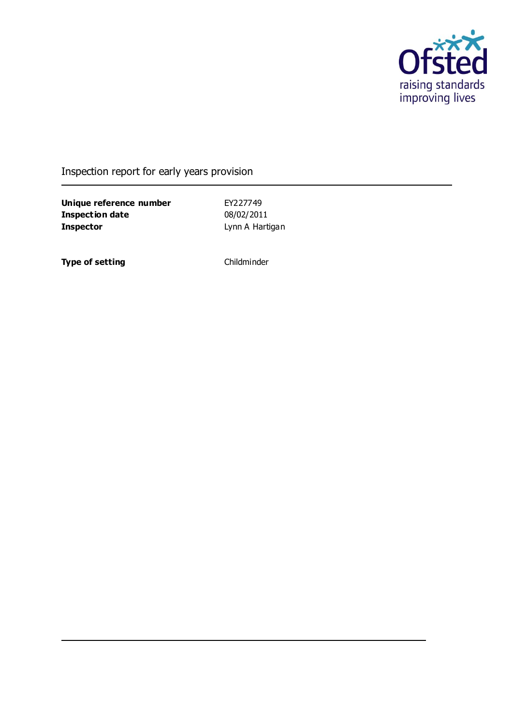

Inspection report for early years provision

**Unique reference number** EY227749<br> **Inspection date** 08/02/2011 **Inspection date Inspector Contract Lynn A Hartigan** 

**Type of setting** Childminder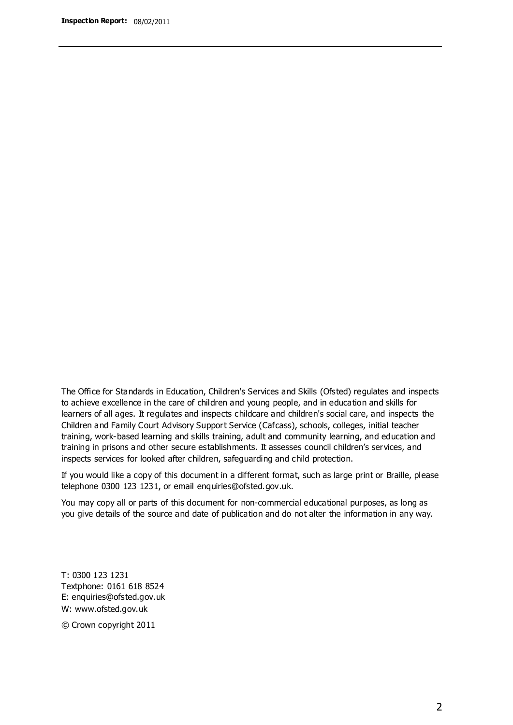The Office for Standards in Education, Children's Services and Skills (Ofsted) regulates and inspects to achieve excellence in the care of children and young people, and in education and skills for learners of all ages. It regulates and inspects childcare and children's social care, and inspects the Children and Family Court Advisory Support Service (Cafcass), schools, colleges, initial teacher training, work-based learning and skills training, adult and community learning, and education and training in prisons and other secure establishments. It assesses council children's services, and inspects services for looked after children, safeguarding and child protection.

If you would like a copy of this document in a different format, such as large print or Braille, please telephone 0300 123 1231, or email enquiries@ofsted.gov.uk.

You may copy all or parts of this document for non-commercial educational purposes, as long as you give details of the source and date of publication and do not alter the information in any way.

T: 0300 123 1231 Textphone: 0161 618 8524 E: enquiries@ofsted.gov.uk W: [www.ofsted.gov.uk](http://www.ofsted.gov.uk/)

© Crown copyright 2011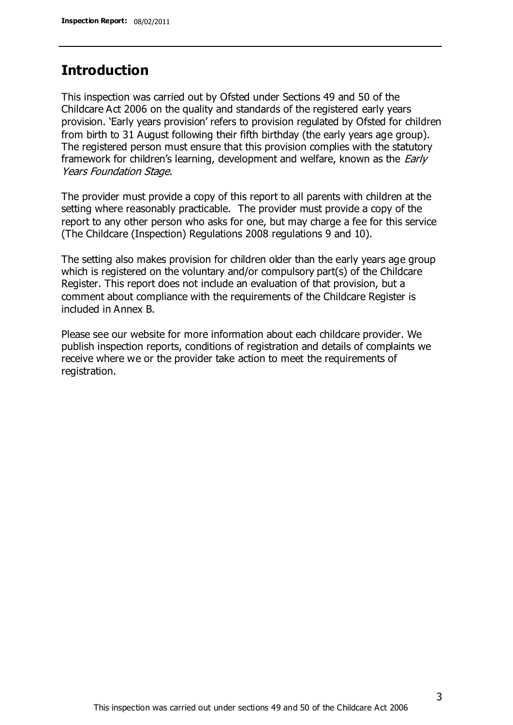## **Introduction**

This inspection was carried out by Ofsted under Sections 49 and 50 of the Childcare Act 2006 on the quality and standards of the registered early years provision. 'Early years provision' refers to provision regulated by Ofsted for children from birth to 31 August following their fifth birthday (the early years age group). The registered person must ensure that this provision complies with the statutory framework for children's learning, development and welfare, known as the *Early* Years Foundation Stage.

The provider must provide a copy of this report to all parents with children at the setting where reasonably practicable. The provider must provide a copy of the report to any other person who asks for one, but may charge a fee for this service (The Childcare (Inspection) Regulations 2008 regulations 9 and 10).

The setting also makes provision for children older than the early years age group which is registered on the voluntary and/or compulsory part(s) of the Childcare Register. This report does not include an evaluation of that provision, but a comment about compliance with the requirements of the Childcare Register is included in Annex B.

Please see our website for more information about each childcare provider. We publish inspection reports, conditions of registration and details of complaints we receive where we or the provider take action to meet the requirements of registration.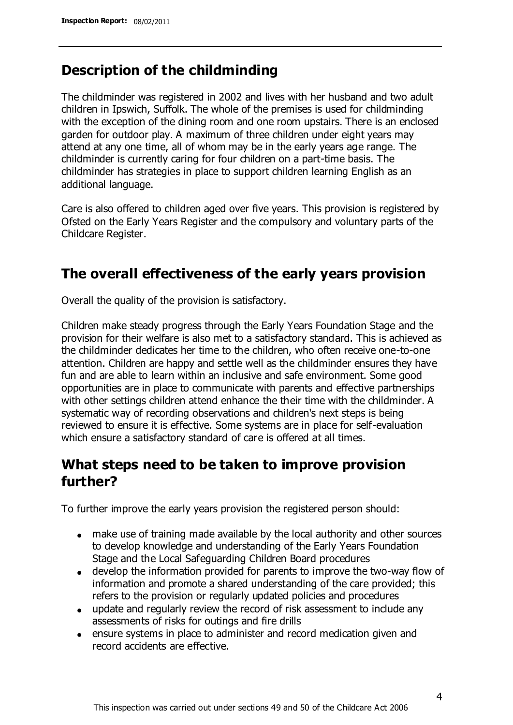## **Description of the childminding**

The childminder was registered in 2002 and lives with her husband and two adult children in Ipswich, Suffolk. The whole of the premises is used for childminding with the exception of the dining room and one room upstairs. There is an enclosed garden for outdoor play. A maximum of three children under eight years may attend at any one time, all of whom may be in the early years age range. The childminder is currently caring for four children on a part-time basis. The childminder has strategies in place to support children learning English as an additional language.

Care is also offered to children aged over five years. This provision is registered by Ofsted on the Early Years Register and the compulsory and voluntary parts of the Childcare Register.

## **The overall effectiveness of the early years provision**

Overall the quality of the provision is satisfactory.

Children make steady progress through the Early Years Foundation Stage and the provision for their welfare is also met to a satisfactory standard. This is achieved as the childminder dedicates her time to the children, who often receive one-to-one attention. Children are happy and settle well as the childminder ensures they have fun and are able to learn within an inclusive and safe environment. Some good opportunities are in place to communicate with parents and effective partnerships with other settings children attend enhance the their time with the childminder. A systematic way of recording observations and children's next steps is being reviewed to ensure it is effective. Some systems are in place for self-evaluation which ensure a satisfactory standard of care is offered at all times.

## **What steps need to be taken to improve provision further?**

To further improve the early years provision the registered person should:

- make use of training made available by the local authority and other sources to develop knowledge and understanding of the Early Years Foundation Stage and the Local Safeguarding Children Board procedures
- develop the information provided for parents to improve the two-way flow of information and promote a shared understanding of the care provided; this refers to the provision or regularly updated policies and procedures
- update and regularly review the record of risk assessment to include any assessments of risks for outings and fire drills
- ensure systems in place to administer and record medication given and record accidents are effective.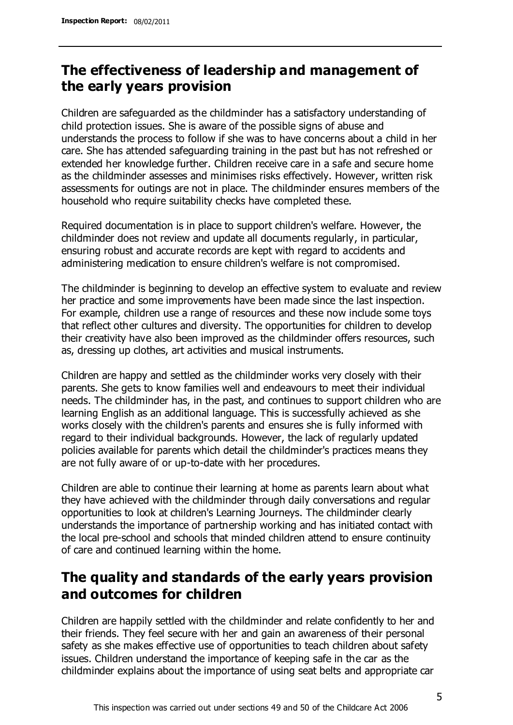# **The effectiveness of leadership and management of the early years provision**

Children are safeguarded as the childminder has a satisfactory understanding of child protection issues. She is aware of the possible signs of abuse and understands the process to follow if she was to have concerns about a child in her care. She has attended safeguarding training in the past but has not refreshed or extended her knowledge further. Children receive care in a safe and secure home as the childminder assesses and minimises risks effectively. However, written risk assessments for outings are not in place. The childminder ensures members of the household who require suitability checks have completed these.

Required documentation is in place to support children's welfare. However, the childminder does not review and update all documents regularly, in particular, ensuring robust and accurate records are kept with regard to accidents and administering medication to ensure children's welfare is not compromised.

The childminder is beginning to develop an effective system to evaluate and review her practice and some improvements have been made since the last inspection. For example, children use a range of resources and these now include some toys that reflect other cultures and diversity. The opportunities for children to develop their creativity have also been improved as the childminder offers resources, such as, dressing up clothes, art activities and musical instruments.

Children are happy and settled as the childminder works very closely with their parents. She gets to know families well and endeavours to meet their individual needs. The childminder has, in the past, and continues to support children who are learning English as an additional language. This is successfully achieved as she works closely with the children's parents and ensures she is fully informed with regard to their individual backgrounds. However, the lack of regularly updated policies available for parents which detail the childminder's practices means they are not fully aware of or up-to-date with her procedures.

Children are able to continue their learning at home as parents learn about what they have achieved with the childminder through daily conversations and regular opportunities to look at children's Learning Journeys. The childminder clearly understands the importance of partnership working and has initiated contact with the local pre-school and schools that minded children attend to ensure continuity of care and continued learning within the home.

# **The quality and standards of the early years provision and outcomes for children**

Children are happily settled with the childminder and relate confidently to her and their friends. They feel secure with her and gain an awareness of their personal safety as she makes effective use of opportunities to teach children about safety issues. Children understand the importance of keeping safe in the car as the childminder explains about the importance of using seat belts and appropriate car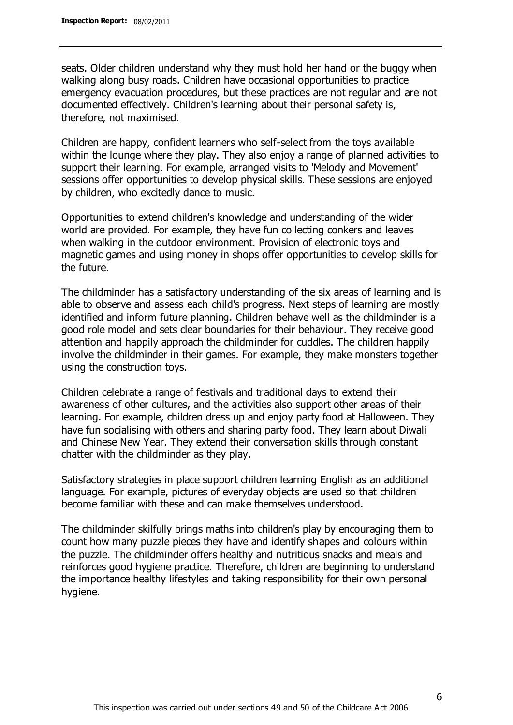seats. Older children understand why they must hold her hand or the buggy when walking along busy roads. Children have occasional opportunities to practice emergency evacuation procedures, but these practices are not regular and are not documented effectively. Children's learning about their personal safety is, therefore, not maximised.

Children are happy, confident learners who self-select from the toys available within the lounge where they play. They also enjoy a range of planned activities to support their learning. For example, arranged visits to 'Melody and Movement' sessions offer opportunities to develop physical skills. These sessions are enjoyed by children, who excitedly dance to music.

Opportunities to extend children's knowledge and understanding of the wider world are provided. For example, they have fun collecting conkers and leaves when walking in the outdoor environment. Provision of electronic toys and magnetic games and using money in shops offer opportunities to develop skills for the future.

The childminder has a satisfactory understanding of the six areas of learning and is able to observe and assess each child's progress. Next steps of learning are mostly identified and inform future planning. Children behave well as the childminder is a good role model and sets clear boundaries for their behaviour. They receive good attention and happily approach the childminder for cuddles. The children happily involve the childminder in their games. For example, they make monsters together using the construction toys.

Children celebrate a range of festivals and traditional days to extend their awareness of other cultures, and the activities also support other areas of their learning. For example, children dress up and enjoy party food at Halloween. They have fun socialising with others and sharing party food. They learn about Diwali and Chinese New Year. They extend their conversation skills through constant chatter with the childminder as they play.

Satisfactory strategies in place support children learning English as an additional language. For example, pictures of everyday objects are used so that children become familiar with these and can make themselves understood.

The childminder skilfully brings maths into children's play by encouraging them to count how many puzzle pieces they have and identify shapes and colours within the puzzle. The childminder offers healthy and nutritious snacks and meals and reinforces good hygiene practice. Therefore, children are beginning to understand the importance healthy lifestyles and taking responsibility for their own personal hygiene.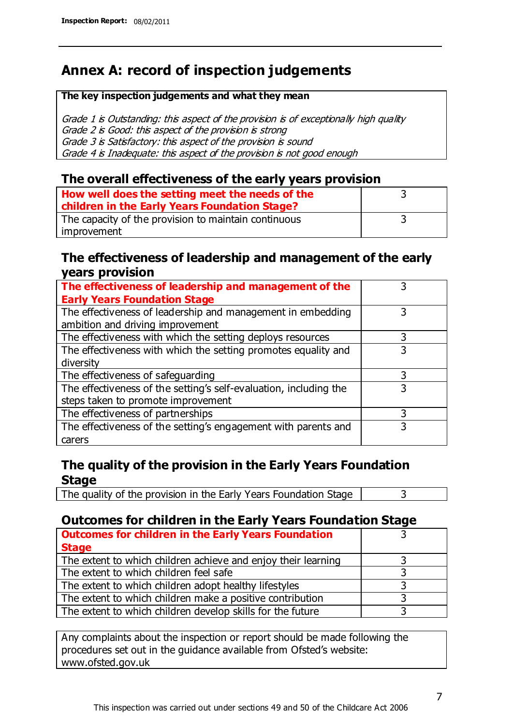# **Annex A: record of inspection judgements**

#### **The key inspection judgements and what they mean**

Grade 1 is Outstanding: this aspect of the provision is of exceptionally high quality Grade 2 is Good: this aspect of the provision is strong Grade 3 is Satisfactory: this aspect of the provision is sound Grade 4 is Inadequate: this aspect of the provision is not good enough

### **The overall effectiveness of the early years provision**

| How well does the setting meet the needs of the      |  |
|------------------------------------------------------|--|
| children in the Early Years Foundation Stage?        |  |
| The capacity of the provision to maintain continuous |  |
| improvement                                          |  |

### **The effectiveness of leadership and management of the early years provision**

| The effectiveness of leadership and management of the             |   |
|-------------------------------------------------------------------|---|
| <b>Early Years Foundation Stage</b>                               |   |
| The effectiveness of leadership and management in embedding       |   |
| ambition and driving improvement                                  |   |
| The effectiveness with which the setting deploys resources        | 3 |
| The effectiveness with which the setting promotes equality and    |   |
| diversity                                                         |   |
| The effectiveness of safeguarding                                 |   |
| The effectiveness of the setting's self-evaluation, including the | 3 |
| steps taken to promote improvement                                |   |
| The effectiveness of partnerships                                 |   |
| The effectiveness of the setting's engagement with parents and    |   |
| carers                                                            |   |

### **The quality of the provision in the Early Years Foundation Stage**

The quality of the provision in the Early Years Foundation Stage  $\vert$  3

### **Outcomes for children in the Early Years Foundation Stage**

| <b>Outcomes for children in the Early Years Foundation</b>    |  |
|---------------------------------------------------------------|--|
| <b>Stage</b>                                                  |  |
| The extent to which children achieve and enjoy their learning |  |
| The extent to which children feel safe                        |  |
| The extent to which children adopt healthy lifestyles         |  |
| The extent to which children make a positive contribution     |  |
| The extent to which children develop skills for the future    |  |

Any complaints about the inspection or report should be made following the procedures set out in the guidance available from Ofsted's website: www.ofsted.gov.uk